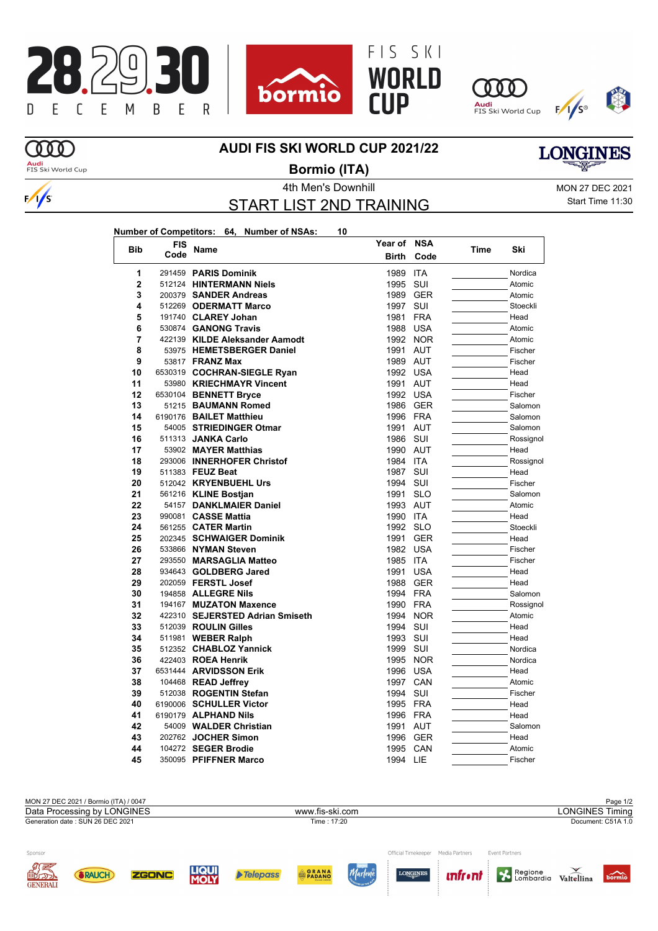









 $\frac{1}{s}$ 

## **AUDI FIS SKI WORLD CUP 2021/22**



**Audi**<br>FIS Ski World Cup

## 4th Men's Downhill Monthly MON 27 DEC 2021 **Bormio (ITA)**

START LIST 2ND TRAINING

Start Time 11:30

|--|

| <b>Bib</b>     | <b>FIS</b> | Name                            | Year of      | <b>NSA</b> |      | Ski       |
|----------------|------------|---------------------------------|--------------|------------|------|-----------|
|                | Code       |                                 | <b>Birth</b> | Code       | Time |           |
| 1              |            | 291459 PARIS Dominik            | 1989         | <b>ITA</b> |      | Nordica   |
| $\overline{2}$ |            | 512124 HINTERMANN Niels         | 1995         | SUI        |      | Atomic    |
| 3              |            | 200379 SANDER Andreas           | 1989         | <b>GER</b> |      | Atomic    |
| 4              |            | 512269 ODERMATT Marco           | 1997         | SUI        |      | Stoeckli  |
| 5              |            | 191740 CLAREY Johan             | 1981         | <b>FRA</b> |      | Head      |
| 6              |            | 530874 GANONG Travis            | 1988         | <b>USA</b> |      | Atomic    |
| 7              |            | 422139 KILDE Aleksander Aamodt  | 1992 NOR     |            |      | Atomic    |
| 8              |            | 53975 HEMETSBERGER Daniel       | 1991         | AUT        |      | Fischer   |
| 9              |            | 53817 FRANZ Max                 | 1989 AUT     |            |      | Fischer   |
| 10             |            | 6530319 COCHRAN-SIEGLE Ryan     | 1992         | USA        |      | Head      |
| 11             |            | 53980 KRIECHMAYR Vincent        | 1991         | <b>AUT</b> |      | Head      |
| 12             |            | 6530104 BENNETT Bryce           | 1992         | <b>USA</b> |      | Fischer   |
| 13             |            | 51215 BAUMANN Romed             | 1986         | <b>GER</b> |      | Salomon   |
| 14             |            | 6190176 BAILET Matthieu         | 1996         | <b>FRA</b> |      | Salomon   |
| 15             |            | 54005 STRIEDINGER Otmar         | 1991         | <b>AUT</b> |      | Salomon   |
| 16             |            | 511313 JANKA Carlo              | 1986         | SUI        |      | Rossignol |
| 17             |            | 53902 MAYER Matthias            | 1990 AUT     |            |      | Head      |
| 18             |            | 293006 INNERHOFER Christof      | 1984         | <b>ITA</b> |      | Rossignol |
| 19             |            | 511383 FEUZ Beat                | 1987         | SUI        |      | Head      |
| 20             |            | 512042 KRYENBUEHL Urs           | 1994         | SUI        |      | Fischer   |
| 21             |            | 561216 KLINE Bostjan            | 1991         | <b>SLO</b> |      | Salomon   |
| 22             |            | 54157 DANKLMAIER Daniel         | 1993         | <b>AUT</b> |      | Atomic    |
| 23             |            | 990081 CASSE Mattia             | 1990         | <b>ITA</b> |      | Head      |
| 24             |            | 561255 CATER Martin             | 1992 SLO     |            |      | Stoeckli  |
| 25             |            | 202345 SCHWAIGER Dominik        | 1991         | <b>GER</b> |      | Head      |
| 26             |            | 533866 NYMAN Steven             | 1982         | USA        |      | Fischer   |
| 27             |            | 293550 MARSAGLIA Matteo         | 1985         | <b>ITA</b> |      | Fischer   |
| 28             |            | 934643 GOLDBERG Jared           | 1991         | <b>USA</b> |      | Head      |
| 29             |            | 202059 FERSTL Josef             | 1988         | <b>GER</b> |      | Head      |
| 30             |            | 194858 ALLEGRE Nils             | 1994         | <b>FRA</b> |      | Salomon   |
| 31             |            | 194167 MUZATON Maxence          | 1990         | FRA        |      | Rossignol |
| 32             |            | 422310 SEJERSTED Adrian Smiseth | 1994         | <b>NOR</b> |      | Atomic    |
| 33             |            | 512039 ROULIN Gilles            | 1994         | SUI        |      | Head      |
| 34             |            | 511981 WEBER Ralph              | 1993         | SUI        |      | Head      |
| 35             |            | 512352 CHABLOZ Yannick          | 1999         | SUI        |      | Nordica   |
| 36             |            | 422403 ROEA Henrik              | 1995         | <b>NOR</b> |      | Nordica   |
| 37             |            | 6531444 ARVIDSSON Erik          | 1996         | <b>USA</b> |      | Head      |
| 38             |            | 104468 READ Jeffrey             | 1997 CAN     |            |      | Atomic    |
| 39             |            | 512038 ROGENTIN Stefan          | 1994         | SUI        |      | Fischer   |
| 40             |            | 6190006 SCHULLER Victor         | 1995         | FRA        |      | Head      |
| 41             |            | 6190179 <b>ALPHAND Nils</b>     | 1996         | <b>FRA</b> |      | Head      |
| 42             |            | 54009 WALDER Christian          | 1991         | AUT        |      | Salomon   |
| 43             |            | 202762 JOCHER Simon             | 1996         | <b>GER</b> |      | Head      |
| 44             |            | 104272 SEGER Brodie             | 1995         | CAN        |      | Atomic    |
| 45             |            | 350095 PFIFFNER Marco           | 1994 LIE     |            |      | Fischer   |